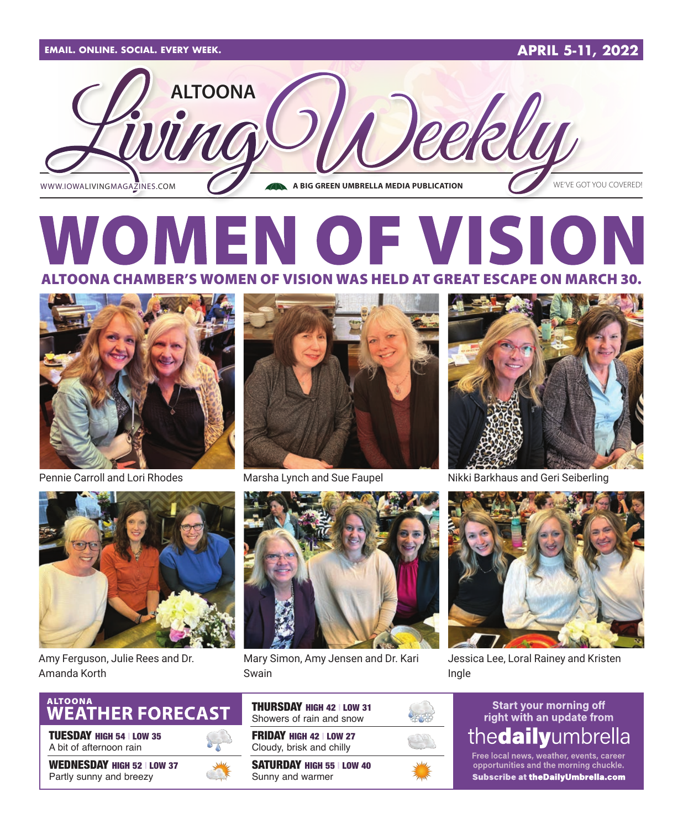

### IEN OF VISION OONA CHAMBER'S WOMEN OF VISION WAS HELD AT GREAT ESCAPE ON MARCH 30.





Amy Ferguson, Julie Rees and Dr. Amanda Korth



TUESDAY HIGH 54 | LOW 35 A bit of afternoon rain

WEDNESDAY HIGH 52 | LOW 37 Partly sunny and breezy





Marsha Lynch and Sue Faupel



Mary Simon, Amy Jensen and Dr. Kari Swain

FRIDAY HIGH 42 | LOW 27 Cloudy, brisk and chilly SATURDAY HIGH 55 | LOW 40 Sunny and warmer

THURSDAY HIGH 42 | LOW 31 Showers of rain and snow



Pennie Carroll and Lori Rhodes Marsha Lynch and Sue Faupel Nikki Barkhaus and Geri Seiberling



Jessica Lee, Loral Rainey and Kristen Ingle

#### **Start your morning off** right with an update from thedailyumbrella

Free local news, weather, events, career<br>opportunities and the morning chuckle. Subscribe at theDailyUmbrella.com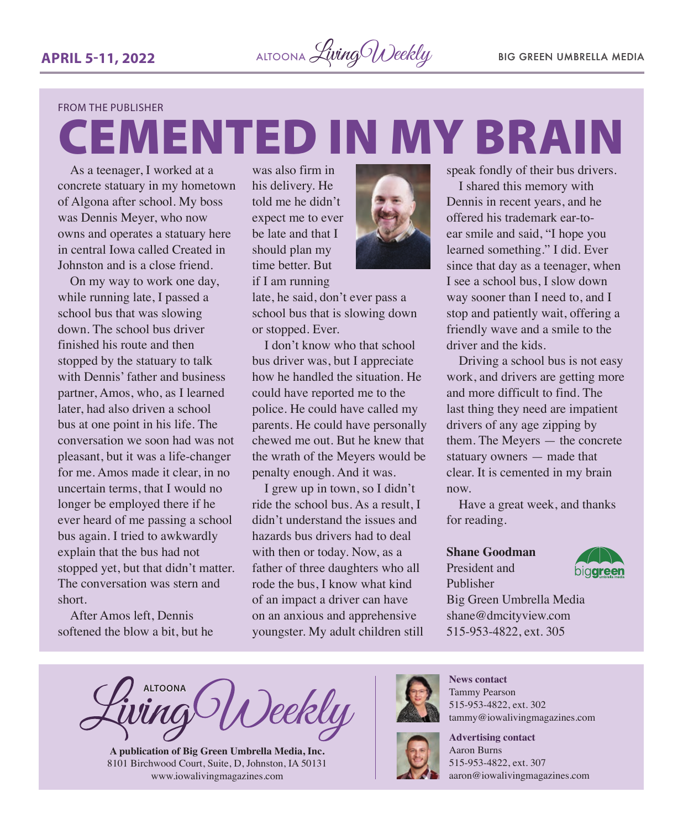CEMENTED IN MY BRAIN

#### FROM THE PUBLISHER

As a teenager, I worked at a concrete statuary in my hometown of Algona after school. My boss was Dennis Meyer, who now owns and operates a statuary here in central Iowa called Created in Johnston and is a close friend.

On my way to work one day, while running late, I passed a school bus that was slowing down. The school bus driver finished his route and then stopped by the statuary to talk with Dennis' father and business partner, Amos, who, as I learned later, had also driven a school bus at one point in his life. The conversation we soon had was not pleasant, but it was a life-changer for me. Amos made it clear, in no uncertain terms, that I would no longer be employed there if he ever heard of me passing a school bus again. I tried to awkwardly explain that the bus had not stopped yet, but that didn't matter. The conversation was stern and short.

After Amos left, Dennis softened the blow a bit, but he

was also firm in his delivery. He told me he didn't expect me to ever be late and that I should plan my time better. But

if I am running

late, he said, don't ever pass a school bus that is slowing down or stopped. Ever.

I don't know who that school bus driver was, but I appreciate how he handled the situation. He could have reported me to the police. He could have called my parents. He could have personally chewed me out. But he knew that the wrath of the Meyers would be penalty enough. And it was.

I grew up in town, so I didn't ride the school bus. As a result, I didn't understand the issues and hazards bus drivers had to deal with then or today. Now, as a father of three daughters who all rode the bus, I know what kind of an impact a driver can have on an anxious and apprehensive youngster. My adult children still



I shared this memory with Dennis in recent years, and he offered his trademark ear-toear smile and said, "I hope you learned something." I did. Ever since that day as a teenager, when I see a school bus, I slow down way sooner than I need to, and I stop and patiently wait, offering a friendly wave and a smile to the driver and the kids.

Driving a school bus is not easy work, and drivers are getting more and more difficult to find. The last thing they need are impatient drivers of any age zipping by them. The Meyers — the concrete statuary owners — made that clear. It is cemented in my brain now.

Have a great week, and thanks for reading.

#### **Shane Goodman**

President and Publisher



Big Green Umbrella Media shane@dmcityview.com 515-953-4822, ext. 305

**ALTOONA** Deekly

**A publication of Big Green Umbrella Media, Inc.** 8101 Birchwood Court, Suite, D, Johnston, IA 50131 www.iowalivingmagazines.com



**News contact** Tammy Pearson 515-953-4822, ext. 302 tammy@iowalivingmagazines.com



**Advertising contact** Aaron Burns 515-953-4822, ext. 307

[aaron@iowalivingmagazines.com](mailto:aaron@iowalivingmagazines.com)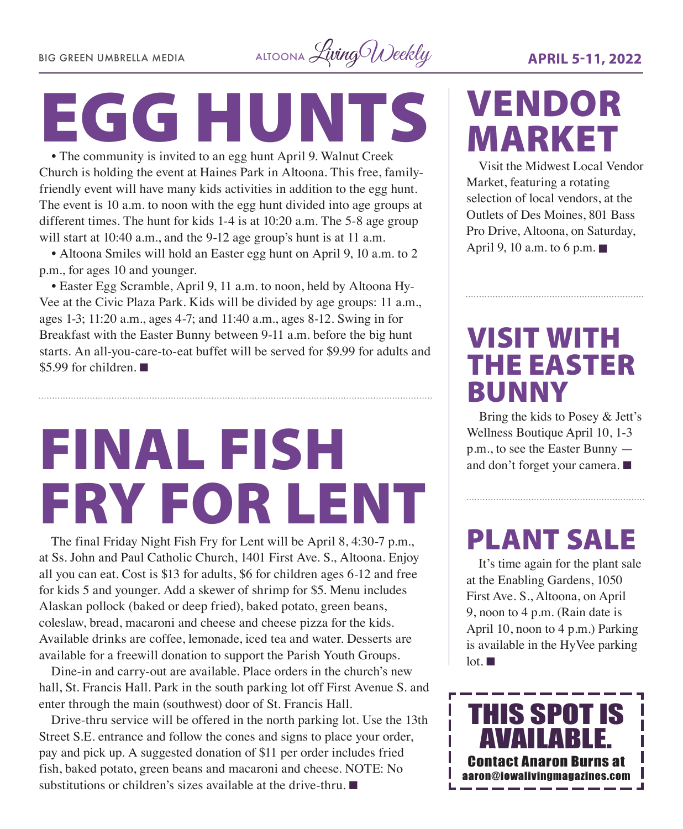BIG GREEN UMBRELLA MEDIA ALTOONA *Living Weekly* **APRIL 5-11, 2022** 

# EGG HUNTS

• The community is invited to an egg hunt April 9. Walnut Creek Church is holding the event at Haines Park in Altoona. This free, familyfriendly event will have many kids activities in addition to the egg hunt. The event is 10 a.m. to noon with the egg hunt divided into age groups at different times. The hunt for kids 1-4 is at 10:20 a.m. The 5-8 age group will start at 10:40 a.m., and the 9-12 age group's hunt is at 11 a.m.

• Altoona Smiles will hold an Easter egg hunt on April 9, 10 a.m. to 2 p.m., for ages 10 and younger.

• Easter Egg Scramble, April 9, 11 a.m. to noon, held by Altoona Hy-Vee at the Civic Plaza Park. Kids will be divided by age groups: 11 a.m., ages 1-3; 11:20 a.m., ages 4-7; and 11:40 a.m., ages 8-12. Swing in for Breakfast with the Easter Bunny between 9-11 a.m. before the big hunt starts. An all-you-care-to-eat buffet will be served for \$9.99 for adults and \$5.99 for children.  $\blacksquare$ 

# FINAL FISH FRY FOR LENT

The final Friday Night Fish Fry for Lent will be April 8, 4:30-7 p.m., at Ss. John and Paul Catholic Church, 1401 First Ave. S., Altoona. Enjoy all you can eat. Cost is \$13 for adults, \$6 for children ages 6-12 and free for kids 5 and younger. Add a skewer of shrimp for \$5. Menu includes Alaskan pollock (baked or deep fried), baked potato, green beans, coleslaw, bread, macaroni and cheese and cheese pizza for the kids. Available drinks are coffee, lemonade, iced tea and water. Desserts are available for a freewill donation to support the Parish Youth Groups.

Dine-in and carry-out are available. Place orders in the church's new hall, St. Francis Hall. Park in the south parking lot off First Avenue S. and enter through the main (southwest) door of St. Francis Hall.

Drive-thru service will be offered in the north parking lot. Use the 13th Street S.E. entrance and follow the cones and signs to place your order, pay and pick up. A suggested donation of \$11 per order includes fried fish, baked potato, green beans and macaroni and cheese. NOTE: No substitutions or children's sizes available at the drive-thru.  $\blacksquare$ 

## VENDOR MARKET

Visit the Midwest Local Vendor Market, featuring a rotating selection of local vendors, at the Outlets of Des Moines, 801 Bass Pro Drive, Altoona, on Saturday, April 9, 10 a.m. to 6 p.m.  $\blacksquare$ 

### VISIT WITH THE EASTER BUNNY

Bring the kids to Posey & Jett's Wellness Boutique April 10, 1-3 p.m., to see the Easter Bunny and don't forget your camera.  $\blacksquare$ 

### PLANT SALE

It's time again for the plant sale at the Enabling Gardens, 1050 First Ave. S., Altoona, on April 9, noon to 4 p.m. (Rain date is April 10, noon to 4 p.m.) Parking is available in the HyVee parking  $\ln \mathbf{m}$ 

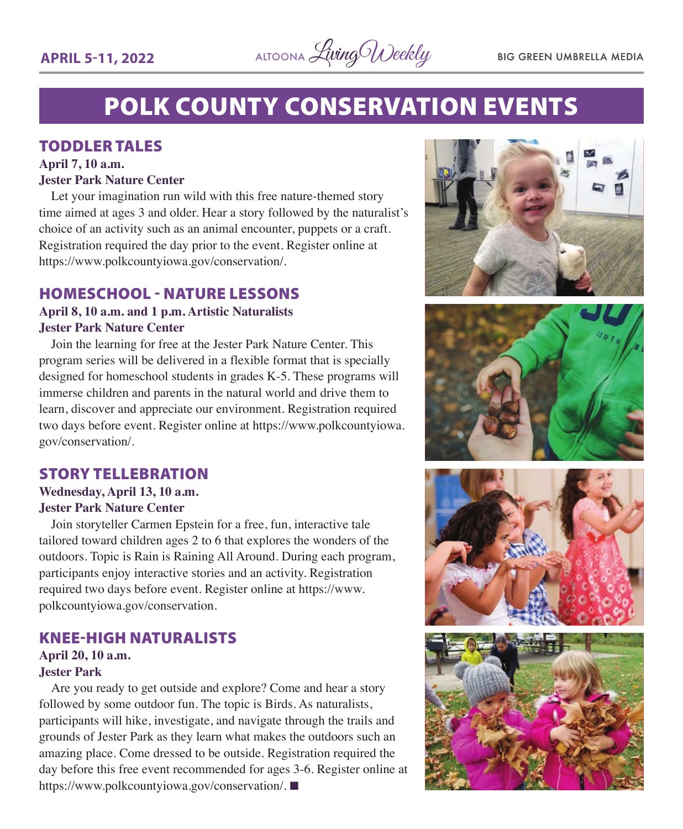

### POLK COUNTY CONSERVATION EVENTS

#### TODDLER TALES

#### **April 7, 10 a.m.**

#### **Jester Park Nature Center**

Let your imagination run wild with this free nature-themed story time aimed at ages 3 and older. Hear a story followed by the naturalist's choice of an activity such as an animal encounter, puppets or a craft. Registration required the day prior to the event. Register online at <https://www.polkcountyiowa.gov/conservation/>.

#### HOMESCHOOL - NATURE LESSONS

#### **April 8, 10 a.m. and 1 p.m. Artistic Naturalists Jester Park Nature Center**

Join the learning for free at the Jester Park Nature Center. This program series will be delivered in a flexible format that is specially designed for homeschool students in grades K-5. These programs will immerse children and parents in the natural world and drive them to learn, discover and appreciate our environment. Registration required two days before event. Register online at [https://www.polkcountyiowa.](https://www.polkcountyiowa.gov/conservation/) [gov/conservation/.](https://www.polkcountyiowa.gov/conservation/)

#### STORY TELLEBRATION

#### **Wednesday, April 13, 10 a.m. Jester Park Nature Center**

Join storyteller Carmen Epstein for a free, fun, interactive tale tailored toward children ages 2 to 6 that explores the wonders of the outdoors. Topic is Rain is Raining All Around. During each program, participants enjoy interactive stories and an activity. Registration required two days before event. Register online at [https://www.](https://www.polkcountyiowa.gov/conservation) [polkcountyiowa.gov/conservation.](https://www.polkcountyiowa.gov/conservation)

#### KNEE-HIGH NATURALISTS

#### **April 20, 10 a.m.**

#### **Jester Park**

Are you ready to get outside and explore? Come and hear a story followed by some outdoor fun. The topic is Birds. As naturalists, participants will hike, investigate, and navigate through the trails and grounds of Jester Park as they learn what makes the outdoors such an amazing place. Come dressed to be outside. Registration required the day before this free event recommended for ages 3-6. Register online at <https://www.polkcountyiowa.gov/conservation/>.







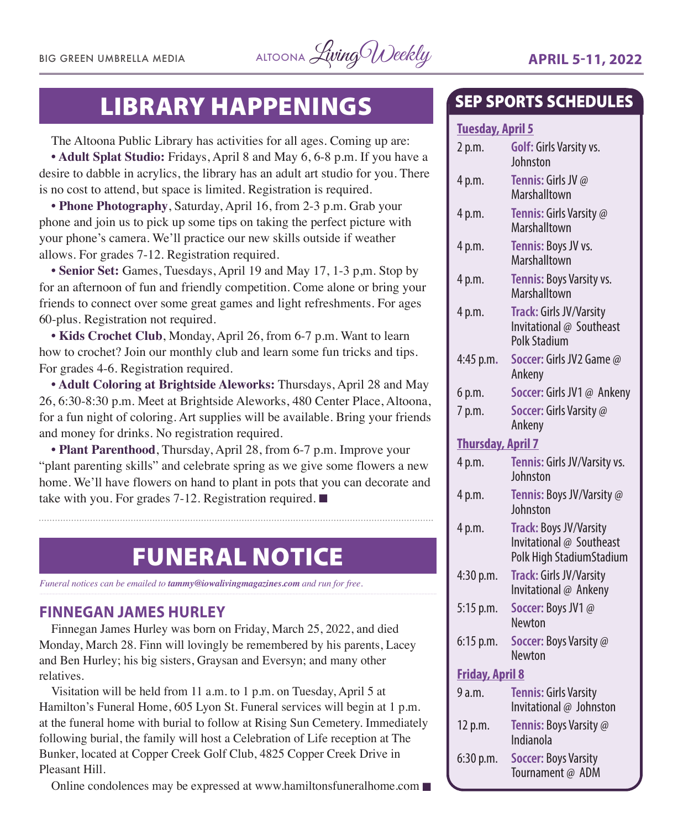

### LIBRARY HAPPENINGS

The Altoona Public Library has activities for all ages. Coming up are:

**• Adult Splat Studio:** Fridays, April 8 and May 6, 6-8 p.m. If you have a desire to dabble in acrylics, the library has an adult art studio for you. There is no cost to attend, but space is limited. Registration is required.

**• Phone Photography**, Saturday, April 16, from 2-3 p.m. Grab your phone and join us to pick up some tips on taking the perfect picture with your phone's camera. We'll practice our new skills outside if weather allows. For grades 7-12. Registration required.

**• Senior Set:** Games, Tuesdays, April 19 and May 17, 1-3 p,m. Stop by for an afternoon of fun and friendly competition. Come alone or bring your friends to connect over some great games and light refreshments. For ages 60-plus. Registration not required.

**• Kids Crochet Club**, Monday, April 26, from 6-7 p.m. Want to learn how to crochet? Join our monthly club and learn some fun tricks and tips. For grades 4-6. Registration required.

**• Adult Coloring at Brightside Aleworks:** Thursdays, April 28 and May 26, 6:30-8:30 p.m. Meet at Brightside Aleworks, 480 Center Place, Altoona, for a fun night of coloring. Art supplies will be available. Bring your friends and money for drinks. No registration required.

**• Plant Parenthood**, Thursday, April 28, from 6-7 p.m. Improve your "plant parenting skills" and celebrate spring as we give some flowers a new home. We'll have flowers on hand to plant in pots that you can decorate and take with you. For grades 7-12. Registration required.  $\blacksquare$ 

### FUNERAL NOTICE

*Funeral notices can be emailed to tammy@iowalivingmagazines.com and run for free.*

#### **FINNEGAN JAMES HURLEY**

Finnegan James Hurley was born on Friday, March 25, 2022, and died Monday, March 28. Finn will lovingly be remembered by his parents, Lacey and Ben Hurley; his big sisters, Graysan and Eversyn; and many other relatives.

Visitation will be held from 11 a.m. to 1 p.m. on Tuesday, April 5 at Hamilton's Funeral Home, 605 Lyon St. Funeral services will begin at 1 p.m. at the funeral home with burial to follow at Rising Sun Cemetery. Immediately following burial, the family will host a Celebration of Life reception at The Bunker, located at Copper Creek Golf Club, 4825 Copper Creek Drive in Pleasant Hill.

Online condolences may be expressed at [www.hamiltonsfuneralhome.com](http://www.hamiltonsfuneralhome.com)  $\blacksquare$ 

### SEP SPORTS SCHEDULES

#### **Tuesday, April 5**

| 2 p.m.                   | Golf: Girls Varsity vs.<br>Johnston                                            |
|--------------------------|--------------------------------------------------------------------------------|
| 4 p.m.                   | Tennis: Girls JV @<br>Marshalltown                                             |
| 4 p.m.                   | Tennis: Girls Varsity @<br>Marshalltown                                        |
| 4 p.m.                   | Tennis: Boys JV vs.<br>Marshalltown                                            |
| 4 p.m.                   | Tennis: Boys Varsity vs.<br>Marshalltown                                       |
| 4 p.m.                   | Track: Girls JV/Varsity<br>Invitational @ Southeast<br><b>Polk Stadium</b>     |
| 4:45 p.m.                | Soccer: Girls JV2 Game @<br>Ankeny                                             |
| 6 p.m.                   | Soccer: Girls JV1 @ Ankeny                                                     |
| 7 p.m.                   | Soccer: Girls Varsity @<br>Ankeny                                              |
| <b>Thursday, April 7</b> |                                                                                |
| 4 p.m.                   | Tennis: Girls JV/Varsity vs.<br>Johnston                                       |
| 4 p.m.                   | Tennis: Boys JV/Varsity @<br>Johnston                                          |
| 4 p.m.                   | Track: Boys JV/Varsity<br>Invitational @ Southeast<br>Polk High StadiumStadium |
| 4:30 p.m.                | Track: Girls JV/Varsity<br>Invitational @ Ankeny                               |
| 5:15 p.m.                | Soccer: Boys JV1@<br>Newton                                                    |
| 6:15 p.m.                | Soccer: Boys Varsity @<br>Newton                                               |
| <b>Friday, April 8</b>   |                                                                                |
| 9 a.m.                   | <b>Tennis: Girls Varsity</b><br>Invitational @ Johnston                        |
| 12 p.m.                  | Tennis: Boys Varsity @<br>Indianola                                            |
| 6:30 p.m.                | <b>Soccer: Boys Varsity</b><br>Tournament @ ADM                                |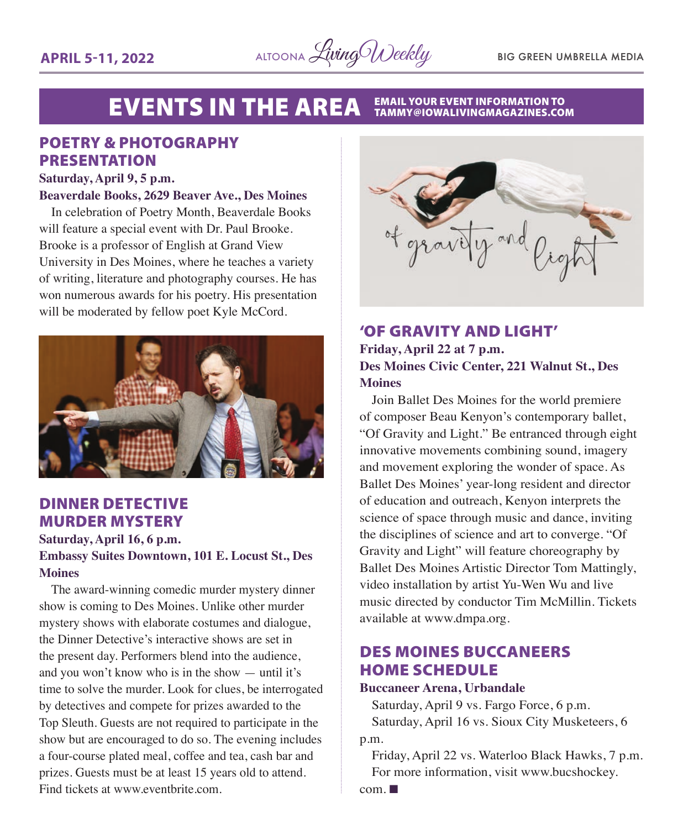

#### **EVENTS IN THE AREA** EMAIL YOUR EVENT INFORMATION TO<br>TAMMY@IOWALIVINGMAGAZINES.COM

#### POETRY & PHOTOGRAPHY PRESENTATION

#### **Saturday, April 9, 5 p.m.**

#### **Beaverdale Books, 2629 Beaver Ave., Des Moines**

In celebration of Poetry Month, Beaverdale Books will feature a special event with Dr. Paul Brooke. Brooke is a professor of English at Grand View University in Des Moines, where he teaches a variety of writing, literature and photography courses. He has won numerous awards for his poetry. His presentation will be moderated by fellow poet Kyle McCord.



#### DINNER DETECTIVE MURDER MYSTERY

**Saturday, April 16, 6 p.m.**

#### **Embassy Suites Downtown, 101 E. Locust St., Des Moines**

The award-winning comedic murder mystery dinner show is coming to Des Moines. Unlike other murder mystery shows with elaborate costumes and dialogue, the Dinner Detective's interactive shows are set in the present day. Performers blend into the audience, and you won't know who is in the show — until it's time to solve the murder. Look for clues, be interrogated by detectives and compete for prizes awarded to the Top Sleuth. Guests are not required to participate in the show but are encouraged to do so. The evening includes a four-course plated meal, coffee and tea, cash bar and prizes. Guests must be at least 15 years old to attend. Find tickets at [www.eventbrite.com](http://www.eventbrite.com).



#### 'OF GRAVITY AND LIGHT' **Friday, April 22 at 7 p.m. Des Moines Civic Center, 221 Walnut St., Des Moines**

Join Ballet Des Moines for the world premiere of composer Beau Kenyon's contemporary ballet, "Of Gravity and Light." Be entranced through eight innovative movements combining sound, imagery and movement exploring the wonder of space. As Ballet Des Moines' year-long resident and director of education and outreach, Kenyon interprets the science of space through music and dance, inviting the disciplines of science and art to converge. "Of Gravity and Light" will feature choreography by Ballet Des Moines Artistic Director Tom Mattingly, video installation by artist Yu-Wen Wu and live music directed by conductor Tim McMillin. Tickets available at [www.dmpa.org.](http://www.dmpa.org)

#### DES MOINES BUCCANEERS HOME SCHEDULE

#### **Buccaneer Arena, Urbandale**

Saturday, April 9 vs. Fargo Force, 6 p.m. Saturday, April 16 vs. Sioux City Musketeers, 6 p.m.

Friday, April 22 vs. Waterloo Black Hawks, 7 p.m. For more information, visit [www.bucshockey.](http://www.bucshockey.com)

 $com. \blacksquare$  $com. \blacksquare$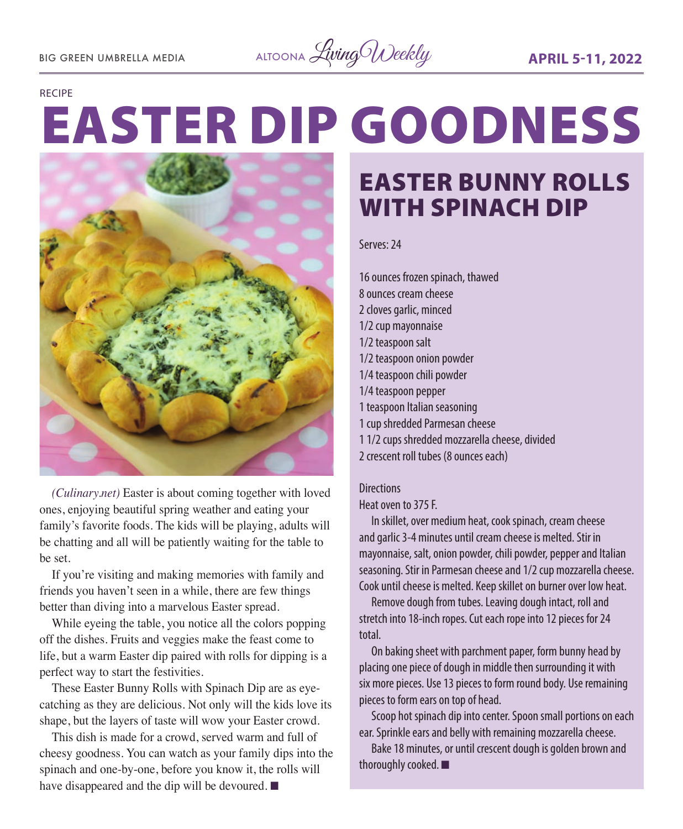BIG GREEN UMBRELLA MEDIA ALTOONA *Living Weekly* **APRIL 5-11, 2022** 

#### RECIPE

# EASTER DIP GOODNESS



*(Culinary.net)* Easter is about coming together with loved ones, enjoying beautiful spring weather and eating your family's favorite foods. The kids will be playing, adults will be chatting and all will be patiently waiting for the table to be set.

If you're visiting and making memories with family and friends you haven't seen in a while, there are few things better than diving into a marvelous Easter spread.

While eyeing the table, you notice all the colors popping off the dishes. Fruits and veggies make the feast come to life, but a warm Easter dip paired with rolls for dipping is a perfect way to start the festivities.

These Easter Bunny Rolls with Spinach Dip are as eyecatching as they are delicious. Not only will the kids love its shape, but the layers of taste will wow your Easter crowd.

This dish is made for a crowd, served warm and full of cheesy goodness. You can watch as your family dips into the spinach and one-by-one, before you know it, the rolls will have disappeared and the dip will be devoured.  $\blacksquare$ 

### EASTER BUNNY ROLLS WITH SPINACH DIP

Serves: 24

16 ounces frozen spinach, thawed 8 ounces cream cheese 2 cloves garlic, minced 1/2 cup mayonnaise 1/2 teaspoon salt 1/2 teaspoon onion powder 1/4 teaspoon chili powder 1/4 teaspoon pepper 1 teaspoon Italian seasoning 1 cup shredded Parmesan cheese 1 1/2 cups shredded mozzarella cheese, divided 2 crescent roll tubes (8 ounces each)

#### **Directions**

Heat oven to 375 F.

In skillet, over medium heat, cook spinach, cream cheese and garlic 3-4 minutes until cream cheese is melted. Stir in mayonnaise, salt, onion powder, chili powder, pepper and Italian seasoning. Stir in Parmesan cheese and 1/2 cup mozzarella cheese. Cook until cheese is melted. Keep skillet on burner over low heat.

Remove dough from tubes. Leaving dough intact, roll and stretch into 18-inch ropes. Cut each rope into 12 pieces for 24 total.

On baking sheet with parchment paper, form bunny head by placing one piece of dough in middle then surrounding it with six more pieces. Use 13 pieces to form round body. Use remaining pieces to form ears on top of head.

Scoop hot spinach dip into center. Spoon small portions on each ear. Sprinkle ears and belly with remaining mozzarella cheese.

Bake 18 minutes, or until crescent dough is golden brown and thoroughly cooked.  $\blacksquare$